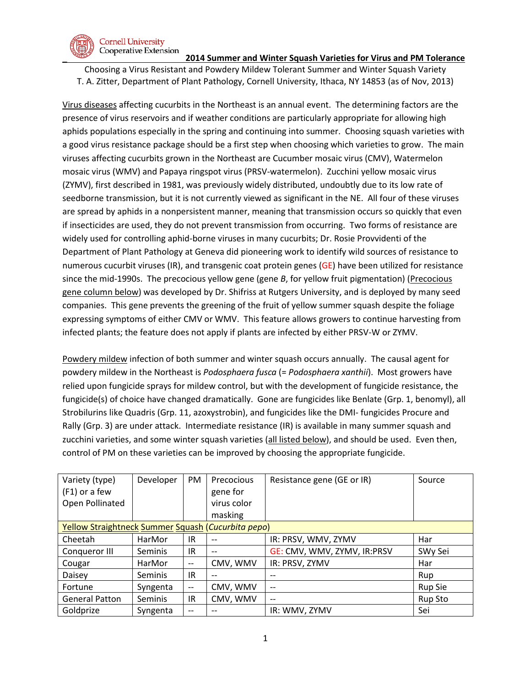

### **Cornell University** Cooperative Extension

# **\_ 2014 Summer and Winter Squash Varieties for Virus and PM Tolerance**

Choosing a Virus Resistant and Powdery Mildew Tolerant Summer and Winter Squash Variety T. A. Zitter, Department of Plant Pathology, Cornell University, Ithaca, NY 14853 (as of Nov, 2013)

Virus diseases affecting cucurbits in the Northeast is an annual event. The determining factors are the presence of virus reservoirs and if weather conditions are particularly appropriate for allowing high aphids populations especially in the spring and continuing into summer. Choosing squash varieties with a good virus resistance package should be a first step when choosing which varieties to grow. The main viruses affecting cucurbits grown in the Northeast are Cucumber mosaic virus (CMV), Watermelon mosaic virus (WMV) and Papaya ringspot virus (PRSV-watermelon). Zucchini yellow mosaic virus (ZYMV), first described in 1981, was previously widely distributed, undoubtly due to its low rate of seedborne transmission, but it is not currently viewed as significant in the NE. All four of these viruses are spread by aphids in a nonpersistent manner, meaning that transmission occurs so quickly that even if insecticides are used, they do not prevent transmission from occurring. Two forms of resistance are widely used for controlling aphid-borne viruses in many cucurbits; Dr. Rosie Provvidenti of the Department of Plant Pathology at Geneva did pioneering work to identify wild sources of resistance to numerous cucurbit viruses (IR), and transgenic coat protein genes (GE) have been utilized for resistance since the mid-1990s. The precocious yellow gene (gene *B*, for yellow fruit pigmentation) (Precocious gene column below) was developed by Dr. Shifriss at Rutgers University, and is deployed by many seed companies. This gene prevents the greening of the fruit of yellow summer squash despite the foliage expressing symptoms of either CMV or WMV. This feature allows growers to continue harvesting from infected plants; the feature does not apply if plants are infected by either PRSV-W or ZYMV.

Powdery mildew infection of both summer and winter squash occurs annually. The causal agent for powdery mildew in the Northeast is *Podosphaera fusca* (= *Podosphaera xanthii*). Most growers have relied upon fungicide sprays for mildew control, but with the development of fungicide resistance, the fungicide(s) of choice have changed dramatically. Gone are fungicides like Benlate (Grp. 1, benomyl), all Strobilurins like Quadris (Grp. 11, azoxystrobin), and fungicides like the DMI- fungicides Procure and Rally (Grp. 3) are under attack. Intermediate resistance (IR) is available in many summer squash and zucchini varieties, and some winter squash varieties (all listed below), and should be used. Even then, control of PM on these varieties can be improved by choosing the appropriate fungicide.

| Variety (type)                                     | Developer      | PM                            | Precocious        | Resistance gene (GE or IR)            | Source         |  |
|----------------------------------------------------|----------------|-------------------------------|-------------------|---------------------------------------|----------------|--|
| $(F1)$ or a few                                    |                |                               | gene for          |                                       |                |  |
| Open Pollinated                                    |                |                               | virus color       |                                       |                |  |
|                                                    |                |                               | masking           |                                       |                |  |
| Yellow Straightneck Summer Squash (Cucurbita pepo) |                |                               |                   |                                       |                |  |
| Cheetah                                            | HarMor         | IR                            | --                | IR: PRSV, WMV, ZYMV                   | Har            |  |
| Conqueror III                                      | <b>Seminis</b> | IR                            | $- -$             | GE: CMV, WMV, ZYMV, IR:PRSV           | SWy Sei        |  |
| Cougar                                             | HarMor         | $\hspace{0.05cm} \textbf{--}$ | CMV, WMV          | IR: PRSV, ZYMV                        | Har            |  |
| Daisey                                             | Seminis        | IR.                           | $\qquad \qquad -$ |                                       | Rup            |  |
| Fortune                                            | Syngenta       | $\overline{\phantom{m}}$      | CMV, WMV          | $\overline{\phantom{m}}$              | <b>Rup Sie</b> |  |
| <b>General Patton</b>                              | Seminis        | IR.                           | CMV, WMV          | $\hspace{0.05cm}$ – $\hspace{0.05cm}$ | Rup Sto        |  |
| Goldprize                                          | Syngenta       | $- -$                         |                   | IR: WMV, ZYMV                         | Sei            |  |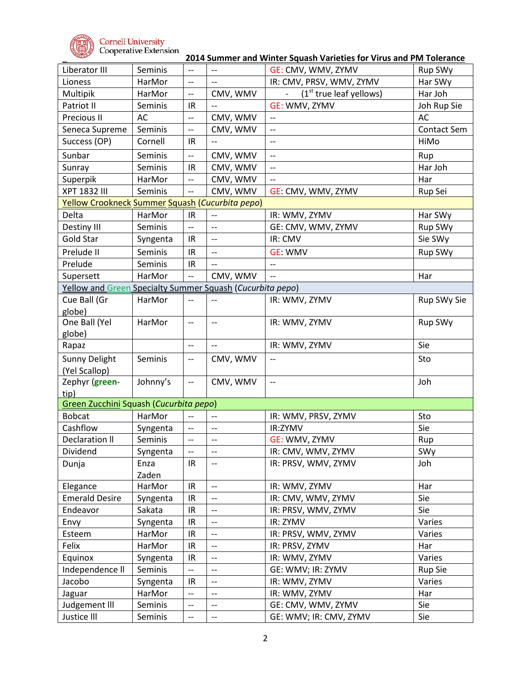

**\_ 2014 Summer and Winter Squash Varieties for Virus and PM Tolerance**

| Liberator III                                             | Seminis  | $-$                      | $-$                      | GE: CMV, WMV, ZYMV                  | Rup SWy        |  |  |
|-----------------------------------------------------------|----------|--------------------------|--------------------------|-------------------------------------|----------------|--|--|
| Lioness                                                   | HarMor   | $\overline{\phantom{a}}$ | $-$                      | IR: CMV, PRSV, WMV, ZYMV            | Har SWy        |  |  |
| Multipik                                                  | HarMor   | $\overline{\phantom{a}}$ | CMV, WMV                 | (1 <sup>st</sup> true leaf yellows) | Har Joh        |  |  |
| Patriot II                                                | Seminis  | IR                       | --                       | GE: WMV, ZYMV                       | Joh Rup Sie    |  |  |
| Precious II                                               | AC       | $\overline{\phantom{a}}$ | CMV, WMV                 | $\overline{\phantom{a}}$            | <b>AC</b>      |  |  |
| Seneca Supreme                                            | Seminis  | $\overline{\phantom{a}}$ | CMV, WMV                 | $-$                                 | Contact Sem    |  |  |
| Success (OP)                                              | Cornell  | IR                       | $-$                      | $-$                                 | HiMo           |  |  |
| Sunbar                                                    | Seminis  | $\overline{\phantom{a}}$ | CMV, WMV                 | $-$                                 | Rup            |  |  |
| Sunray                                                    | Seminis  | IR                       | CMV, WMV                 | $-$                                 | Har Joh        |  |  |
| Superpik                                                  | HarMor   | $\overline{\phantom{a}}$ | CMV, WMV                 | $\overline{\phantom{a}}$            | Har            |  |  |
| <b>XPT 1832 III</b>                                       | Seminis  | $\overline{a}$           | CMV, WMV                 | GE: CMV, WMV, ZYMV                  | Rup Sei        |  |  |
| Yellow Crookneck Summer Squash (Cucurbita pepo)           |          |                          |                          |                                     |                |  |  |
| Delta                                                     | HarMor   | IR                       | $-$                      | IR: WMV, ZYMV                       | Har SWy        |  |  |
| Destiny III                                               | Seminis  | $\overline{\phantom{m}}$ | $-$                      | GE: CMV, WMV, ZYMV                  | Rup SWy        |  |  |
| Gold Star                                                 | Syngenta | IR                       | $\overline{\phantom{a}}$ | IR: CMV                             | Sie SWy        |  |  |
| Prelude II                                                | Seminis  | IR                       | $\overline{\phantom{a}}$ | <b>GE: WMV</b>                      | Rup SWy        |  |  |
| Prelude                                                   | Seminis  | IR                       | $\overline{a}$           | $\overline{\phantom{a}}$            |                |  |  |
| Supersett                                                 | HarMor   | $\overline{a}$           | CMV, WMV                 | $\overline{\phantom{a}}$            | Har            |  |  |
| Yellow and Green Specialty Summer Squash (Cucurbita pepo) |          |                          |                          |                                     |                |  |  |
| Cue Ball (Gr                                              | HarMor   | $-$                      | $-$                      | IR: WMV, ZYMV                       | Rup SWy Sie    |  |  |
| globe)                                                    |          |                          |                          |                                     |                |  |  |
| One Ball (Yel                                             | HarMor   | $\overline{\phantom{a}}$ | --                       | IR: WMV, ZYMV                       | Rup SWy        |  |  |
| globe)                                                    |          |                          |                          |                                     |                |  |  |
| Rapaz                                                     |          | $\overline{\phantom{m}}$ | $\overline{\phantom{a}}$ | IR: WMV, ZYMV                       | Sie            |  |  |
| Sunny Delight                                             | Seminis  | $-$                      | CMV, WMV                 |                                     | Sto            |  |  |
| (Yel Scallop)                                             |          |                          |                          |                                     |                |  |  |
| Zephyr (green-                                            | Johnny's | $\overline{\phantom{a}}$ | CMV, WMV                 | $\overline{\phantom{a}}$            | Joh            |  |  |
| tip)                                                      |          |                          |                          |                                     |                |  |  |
| Green Zucchini Squash (Cucurbita pepo)                    |          |                          |                          |                                     |                |  |  |
| <b>Bobcat</b>                                             | HarMor   | $\overline{a}$           | $-$                      | IR: WMV, PRSV, ZYMV                 | Sto            |  |  |
| Cashflow                                                  | Syngenta | --                       | $-$                      | IR:ZYMV                             | Sie            |  |  |
| <b>Declaration II</b>                                     | Seminis  | $-$                      | $-$                      | GE: WMV, ZYMV                       | Rup            |  |  |
| Dividend                                                  | Syngenta |                          |                          | IR: CMV, WMV, ZYMV                  | SWy            |  |  |
| Dunja                                                     | Enza     | IR                       | $-\hbox{--}$             | IR: PRSV, WMV, ZYMV                 | Joh            |  |  |
|                                                           | Zaden    |                          |                          |                                     |                |  |  |
| Elegance                                                  | HarMor   | IR                       | $\overline{\phantom{a}}$ | IR: WMV, ZYMV                       | Har            |  |  |
| <b>Emerald Desire</b>                                     | Syngenta | IR                       | $\overline{\phantom{a}}$ | IR: CMV, WMV, ZYMV                  | Sie            |  |  |
| Endeavor                                                  | Sakata   | IR                       | $\overline{\phantom{a}}$ | IR: PRSV, WMV, ZYMV                 | Sie            |  |  |
| Envy                                                      | Syngenta | IR                       | $\overline{\phantom{a}}$ | IR: ZYMV                            | Varies         |  |  |
| Esteem                                                    | HarMor   | IR                       | --                       | IR: PRSV, WMV, ZYMV                 | Varies         |  |  |
| Felix                                                     | HarMor   | IR                       | $\overline{\phantom{a}}$ | IR: PRSV, ZYMV                      | Har            |  |  |
| Equinox                                                   | Syngenta | IR                       | --                       | IR: WMV, ZYMV                       | Varies         |  |  |
| Independence II                                           | Seminis  | --                       | --                       | GE: WMV; IR: ZYMV                   | <b>Rup Sie</b> |  |  |
| Jacobo                                                    | Syngenta | IR                       | $\overline{\phantom{a}}$ | IR: WMV, ZYMV                       | Varies         |  |  |
| Jaguar                                                    | HarMor   | $\overline{\phantom{a}}$ | $-$                      | IR: WMV, ZYMV                       | Har            |  |  |
| Judgement III                                             | Seminis  | --                       | --                       | GE: CMV, WMV, ZYMV                  | Sie            |  |  |
| Justice III                                               | Seminis  | --                       | $\overline{\phantom{a}}$ | GE: WMV; IR: CMV, ZYMV              | Sie            |  |  |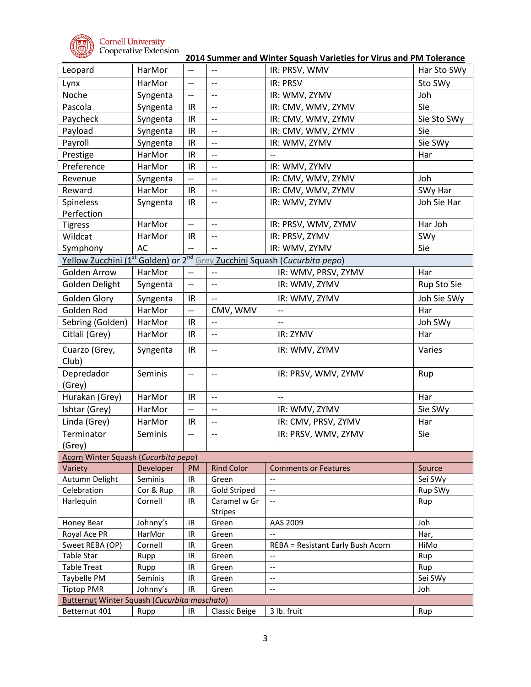

**\_ 2014 Summer and Winter Squash Varieties for Virus and PM Tolerance**

| Leopard                                             | HarMor    | $-$                      | $-$                            | IR: PRSV, WMV                                                    | Har Sto SWy |  |  |
|-----------------------------------------------------|-----------|--------------------------|--------------------------------|------------------------------------------------------------------|-------------|--|--|
| Lynx                                                | HarMor    | $\overline{a}$           | $\overline{\phantom{a}}$       | <b>IR: PRSV</b>                                                  | Sto SWy     |  |  |
| Noche                                               | Syngenta  | $\overline{\phantom{a}}$ | $-$                            | IR: WMV, ZYMV                                                    | Joh         |  |  |
| Pascola                                             | Syngenta  | IR                       | $\overline{\phantom{a}}$       | IR: CMV, WMV, ZYMV                                               | Sie         |  |  |
| Paycheck                                            | Syngenta  | IR                       | --                             | IR: CMV, WMV, ZYMV                                               | Sie Sto SWy |  |  |
| Payload                                             | Syngenta  | IR                       | $-$                            | IR: CMV, WMV, ZYMV                                               | Sie         |  |  |
| Payroll                                             | Syngenta  | IR                       | $\overline{\phantom{a}}$       | IR: WMV, ZYMV                                                    | Sie SWy     |  |  |
| Prestige                                            | HarMor    | IR                       | $\overline{\phantom{a}}$       | $\overline{a}$                                                   | Har         |  |  |
| Preference                                          | HarMor    | IR                       | $\overline{\phantom{a}}$       | IR: WMV, ZYMV                                                    |             |  |  |
| Revenue                                             | Syngenta  | $\overline{\phantom{a}}$ | $\overline{\phantom{a}}$       | IR: CMV, WMV, ZYMV                                               | Joh         |  |  |
| Reward                                              | HarMor    | IR                       | $\overline{a}$                 | IR: CMV, WMV, ZYMV                                               | SWy Har     |  |  |
| Spineless                                           |           | IR                       |                                | IR: WMV, ZYMV                                                    | Joh Sie Har |  |  |
| Perfection                                          | Syngenta  |                          | --                             |                                                                  |             |  |  |
| <b>Tigress</b>                                      | HarMor    | $\overline{\phantom{a}}$ | $\overline{\phantom{a}}$       | IR: PRSV, WMV, ZYMV                                              | Har Joh     |  |  |
| Wildcat                                             | HarMor    |                          | $-$                            | IR: PRSV, ZYMV                                                   | SWy         |  |  |
|                                                     |           | IR<br>--                 | --                             |                                                                  |             |  |  |
| Symphony                                            | AC        |                          |                                | IR: WMV, ZYMV                                                    | Sie         |  |  |
| <u>Yellow Zucchini (1st</u>                         |           |                          |                                | Golden) or 2 <sup>nd</sup> Grey Zucchini Squash (Cucurbita pepo) |             |  |  |
| Golden Arrow                                        | HarMor    | $\overline{\phantom{a}}$ | $-$                            | IR: WMV, PRSV, ZYMV                                              | Har         |  |  |
| Golden Delight                                      | Syngenta  | $- -$                    | $-$                            | IR: WMV, ZYMV                                                    | Rup Sto Sie |  |  |
| Golden Glory                                        | Syngenta  | IR                       | $-$                            | IR: WMV, ZYMV                                                    | Joh Sie SWy |  |  |
| Golden Rod                                          | HarMor    | $\overline{\phantom{a}}$ | CMV, WMV                       | $\overline{\phantom{a}}$                                         | Har         |  |  |
| Sebring (Golden)                                    | HarMor    | IR                       | --                             | $\overline{\phantom{a}}$                                         | Joh SWy     |  |  |
| Citlali (Grey)                                      | HarMor    | IR                       | $\overline{\phantom{m}}$       | IR: ZYMV                                                         | Har         |  |  |
| Cuarzo (Grey,<br>Club)                              | Syngenta  | IR.                      | $\overline{\phantom{m}}$       | IR: WMV, ZYMV                                                    | Varies      |  |  |
| Depredador<br>(Grey)                                | Seminis   | $-$                      | $\overline{\phantom{m}}$       | IR: PRSV, WMV, ZYMV                                              | Rup         |  |  |
| Hurakan (Grey)                                      | HarMor    | IR                       | $\overline{a}$                 | $\overline{\phantom{a}}$                                         | Har         |  |  |
| Ishtar (Grey)                                       | HarMor    | $\overline{\phantom{a}}$ | $-$                            | IR: WMV, ZYMV                                                    | Sie SWy     |  |  |
| Linda (Grey)                                        | HarMor    | IR                       | $\overline{\phantom{a}}$       | IR: CMV, PRSV, ZYMV                                              | Har         |  |  |
| Terminator                                          | Seminis   | $\overline{\phantom{a}}$ | $-$                            | IR: PRSV, WMV, ZYMV                                              | Sie         |  |  |
| (Grey)                                              |           |                          |                                |                                                                  |             |  |  |
| Acorn Winter Squash (Cucurbita pepo)                |           |                          |                                |                                                                  |             |  |  |
| Variety                                             | Developer | PM                       | <b>Rind Color</b>              | <b>Comments or Features</b>                                      | Source      |  |  |
| Autumn Delight                                      | Seminis   | IR                       | Green                          | $-$                                                              | Sei SWy     |  |  |
| Celebration                                         | Cor & Rup | IR                       | <b>Gold Striped</b>            | $\overline{\phantom{a}}$                                         | Rup SWy     |  |  |
| Harlequin                                           | Cornell   | IR                       | Caramel w Gr<br><b>Stripes</b> | $\hspace{0.05cm} \ldots$                                         | Rup         |  |  |
| Honey Bear                                          | Johnny's  | IR                       | Green                          | AAS 2009                                                         | Joh         |  |  |
| Royal Ace PR                                        | HarMor    | IR                       | Green                          |                                                                  | Har,        |  |  |
| Sweet REBA (OP)                                     | Cornell   | IR                       | Green                          | REBA = Resistant Early Bush Acorn                                | HiMo        |  |  |
| Table Star                                          | Rupp      | IR                       | Green                          | --                                                               | Rup         |  |  |
| <b>Table Treat</b>                                  | Rupp      | IR                       | Green                          | $\overline{\phantom{a}}$                                         | Rup         |  |  |
| Taybelle PM                                         | Seminis   | IR                       | Green                          | --                                                               | Sei SWy     |  |  |
| <b>Tiptop PMR</b>                                   | Johnny's  | IR                       | Green                          | $\overline{\phantom{a}}$                                         | Joh         |  |  |
| <b>Butternut Winter Squash (Cucurbita moschata)</b> |           |                          |                                |                                                                  |             |  |  |
| Betternut 401                                       | Rupp      | IR                       | <b>Classic Beige</b>           | 3 lb. fruit                                                      | Rup         |  |  |